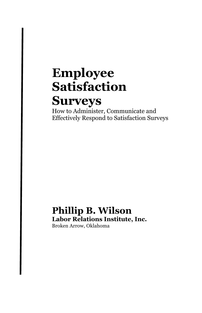# **Employee Satisfaction**

# **Surveys**

How to Administer, Communicate and Effectively Respond to Satisfaction Surveys

#### **Phillip B. Wilson Labor Relations Institute, Inc.** Broken Arrow, Oklahoma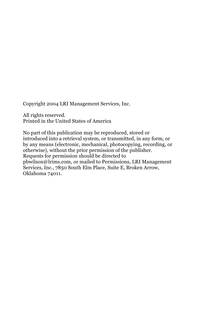Copyright 2004 LRI Management Services, Inc.

All rights reserved. Printed in the United States of America

No part of this publication may be reproduced, stored or introduced into a retrieval system, or transmitted, in any form, or by any means (electronic, mechanical, photocopying, recording, or otherwise), without the prior permission of the publisher. Requests for permission should be directed to pbwilson@lrims.com, or mailed to Permissions, LRI Management Services, Inc., 7850 South Elm Place, Suite E, Broken Arrow, Oklahoma 74011.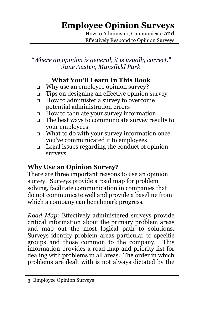# **Employee Opinion Surveys**

How to Administer, Communicate and Effectively Respond to Opinion Surveys

#### *"Where an opinion is general, it is usually correct." Jane Austen, Mansfield Park*

## **What You'll Learn In This Book**

- □ Why use an employee opinion survey?
- Tips on designing an effective opinion survey
- How to administer a survey to overcome potential administration errors
- $\Box$  How to tabulate your survey information
- The best ways to communicate survey results to your employees
- What to do with your survey information once you've communicated it to employees
- $\Box$  Legal issues regarding the conduct of opinion surveys

## **Why Use an Opinion Survey?**

There are three important reasons to use an opinion survey. Surveys provide a road map for problem solving, facilitate communication in companies that do not communicate well and provide a baseline from which a company can benchmark progress.

*Road Map*: Effectively administered surveys provide critical information about the primary problem areas and map out the most logical path to solutions. Surveys identify problem areas particular to specific groups and those common to the company. This information provides a road map and priority list for dealing with problems in all areas. The order in which problems are dealt with is not always dictated by the

**<sup>3</sup>** Employee Opinion Surveys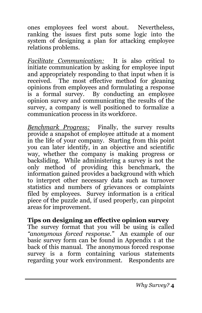ones employees feel worst about. Nevertheless, ranking the issues first puts some logic into the system of designing a plan for attacking employee relations problems.

*Facilitate Communication:*It is also critical to initiate communication by asking for employee input and appropriately responding to that input when it is received. The most effective method for gleaning opinions from employees and formulating a response is a formal survey. By conducting an employee opinion survey and communicating the results of the survey, a company is well positioned to formalize a communication process in its workforce.

*Benchmark Progress:*Finally, the survey results provide a snapshot of employee attitude at a moment in the life of your company. Starting from this point you can later identify, in an objective and scientific way, whether the company is making progress or backsliding. While administering a survey is not the only method of providing this benchmark, the information gained provides a background with which to interpret other necessary data such as turnover statistics and numbers of grievances or complaints filed by employees. Survey information is a critical piece of the puzzle and, if used properly, can pinpoint areas for improvement.

#### **Tips on designing an effective opinion survey**

The survey format that you will be using is called *"anonymous forced response."* An example of our basic survey form can be found in Appendix 1 at the back of this manual. The anonymous forced response survey is a form containing various statements regarding your work environment. Respondents are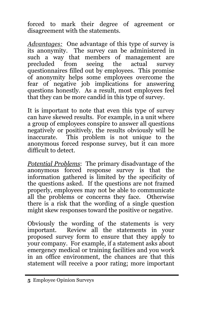forced to mark their degree of agreement or disagreement with the statements.

*Advantages:* One advantage of this type of survey is its anonymity. The survey can be administered in such a way that members of management are<br>precluded from seeing the actual survey from seeing the actual survey questionnaires filled out by employees. This promise of anonymity helps some employees overcome the fear of negative job implications for answering questions honestly. As a result, most employees feel that they can be more candid in this type of survey.

It is important to note that even this type of survey can have skewed results. For example, in a unit where a group of employees conspire to answer all questions negatively or positively, the results obviously will be inaccurate. This problem is not unique to the anonymous forced response survey, but it can more difficult to detect.

*Potential Problems*: The primary disadvantage of the anonymous forced response survey is that the information gathered is limited by the specificity of the questions asked. If the questions are not framed properly, employees may not be able to communicate all the problems or concerns they face. Otherwise there is a risk that the wording of a single question might skew responses toward the positive or negative.

Obviously the wording of the statements is very important. Review all the statements in your proposed survey form to ensure that they apply to your company. For example, if a statement asks about emergency medical or training facilities and you work in an office environment, the chances are that this statement will receive a poor rating; more important

**<sup>5</sup>** Employee Opinion Surveys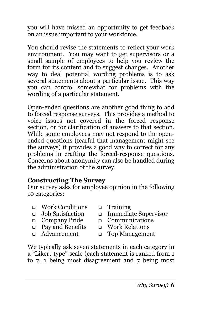you will have missed an opportunity to get feedback on an issue important to your workforce.

You should revise the statements to reflect your work environment. You may want to get supervisors or a small sample of employees to help you review the form for its content and to suggest changes. Another way to deal potential wording problems is to ask several statements about a particular issue. This way you can control somewhat for problems with the wording of a particular statement.

Open-ended questions are another good thing to add to forced response surveys. This provides a method to voice issues not covered in the forced response section, or for clarification of answers to that section. While some employees may not respond to the openended questions (fearful that management might see the surveys) it provides a good way to correct for any problems in crafting the forced-response questions. Concerns about anonymity can also be handled during the administration of the survey.

#### **Constructing The Survey**

Our survey asks for employee opinion in the following 10 categories:

- $\Box$  Work Conditions  $\Box$  Training
- 
- 
- Pay and Benefits Work Relations
- 
- 
- Job Satisfaction Immediate Supervisor
- Company Pride Communications
	-
- Advancement Top Management

We typically ask seven statements in each category in a "Likert-type" scale (each statement is ranked from 1 to 7, 1 being most disagreement and 7 being most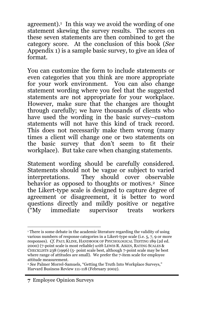agreement). $\frac{1}{1}$  In this way we avoid the wording of one statement skewing the survey results. The scores on these seven statements are then combined to get the category score. At the conclusion of this book (*See* Appendix 1) is a sample basic survey, to give an idea of format.

You can customize the form to include statements or even categories that you think are more appropriate for your work environment. You can also change statement wording where you feel that the suggested statements are not appropriate for your workplace. However, make sure that the changes are thought through carefully; we have thousands of clients who have used the wording in the basic survey–custom statements will not have this kind of track record. This does not necessarily make them wrong (many times a client will change one or two statements on the basic survey that don't seem to fit their workplace). But take care when changing statements.

Statement wording should be carefully considered. Statements should not be vague or subject to varied interpretations. They should cover observable behavior as opposed to thoughts or motives.<sup>2</sup> Since the Likert-type scale is designed to capture degree of agreement or disagreement, it is better to word questions directly and mildly positive or negative<br>("My immediate supervisor treats workers  $\tilde{f}$ "My immediate supervisor treats

<sup>&</sup>lt;sup>1</sup> There is some debate in the academic literature regarding the validity of using various numbers of response categories in a Likert-type scale (i.e. 5, 7, 9 or more responses). *Cf.* PAUL KLINE, HANDBOOK OF PSYCHOLOGICAL TESTING 189 (2d ed. 2000) (7-point scale is most reliable) *with* LEWIS R. AIKEN, RATING SCALES & CHECKLISTS 238 (1996) (5- point scale best, although 7-point scale may be best where range of attitudes are small). We prefer the 7-item scale for employee attitude measurement.

<sup>&</sup>lt;sup>2</sup> See Palmer Morrel-Samuels, "Getting the Truth Into Workplace Surveys," Harvard Business Review 111-118 (February 2002).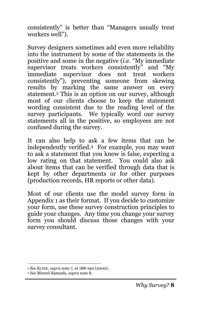consistently" is better than "Managers usually treat workers well").

Survey designers sometimes add even more reliability into the instrument by some of the statements in the positive and some in the negative (*i.e.* "My immediate supervisor treats workers consistently" and "My immediate supervisor does not treat workers consistently"), preventing someone from skewing results by marking the same answer on every statement.3 This is an option on our survey, although most of our clients choose to keep the statement wording consistent due to the reading level of the survey participants. We typically word our survey statements all in the positive, so employees are not confused during the survey.

It can also help to ask a few items that can be independently verified.4 For example, you may want to ask a statement that you know is false, expecting a low rating on that statement. You could also ask about items that can be verified through data that is kept by other departments or for other purposes (production records, HR reports or other data).

Most of our clients use the model survey form in Appendix 1 as their format. If you decide to customize your form, use these survey construction principles to guide your changes. Any time you change your survey form you should discuss those changes with your survey consultant.

 <sup>3</sup> *See* KLINE, *supra* note 7, at 188-190 (2000).

<sup>4</sup> *See* Morrel-Samuels, *supra* note 8.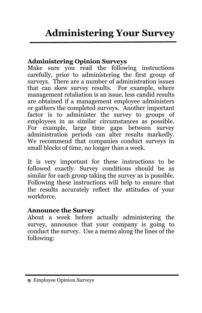#### **Administering Opinion Surveys**

Make sure you read the following instructions carefully, prior to administering the first group of surveys. There are a number of administration issues that can skew survey results. For example, where management retaliation is an issue, less candid results are obtained if a management employee administers or gathers the completed surveys. Another important factor is to administer the survey to groups of employees in as similar circumstances as possible. For example, large time gaps between survey administration periods can alter results markedly. We recommend that companies conduct surveys in small blocks of time, no longer than a week.

It is very important for these instructions to be followed exactly. Survey conditions should be as similar for each group taking the survey as is possible. Following these instructions will help to ensure that the results accurately reflect the attitudes of your workforce.

#### **Announce the Survey**

About a week before actually administering the survey, announce that your company is going to conduct the survey. Use a memo along the lines of the following: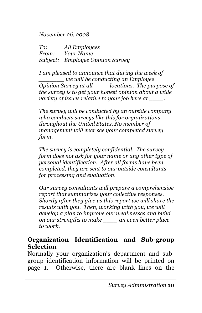*November 26, 2008*

*To: All Employees From: Your Name Subject: Employee Opinion Survey*

*I am pleased to announce that during the week of \_\_\_\_\_\_\_ we will be conducting an Employee Opinion Survey at all \_\_\_\_ locations. The purpose of the survey is to get your honest opinion about a wide variety of issues relative to your job here at \_\_\_\_.*

*The survey will be conducted by an outside company who conducts surveys like this for organizations throughout the United States. No member of management will ever see your completed survey form.*

*The survey is completely confidential. The survey form does not ask for your name or any other type of personal identification. After all forms have been completed, they are sent to our outside consultants for processing and evaluation.*

*Our survey consultants will prepare a comprehensive report that summarizes your collective responses. Shortly after they give us this report we will share the results with you. Then, working with you, we will develop a plan to improve our weaknesses and build on our strengths to make \_\_\_\_ an even better place to work.*

#### **Organization Identification and Sub-group Selection**

Normally your organization's department and subgroup identification information will be printed on page 1. Otherwise, there are blank lines on the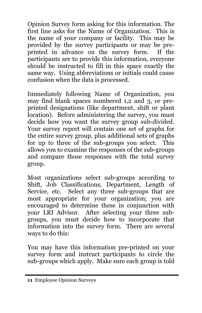Opinion Survey form asking for this information. The first line asks for the Name of Organization. This is the name of your company or facility. This may be provided by the survey participants or may be preprinted in advance on the survey form. If the participants are to provide this information, everyone should be instructed to fill in this space exactly the same way. Using abbreviations or initials could cause confusion when the data is processed.

Immediately following Name of Organization, you may find blank spaces numbered 1,2 and 3, or preprinted designations (like department, shift or plant location). Before administering the survey, you must decide how you want the survey group sub-divided. Your survey report will contain one set of graphs for the entire survey group, plus additional sets of graphs for up to three of the sub-groups you select. This allows you to examine the responses of the sub-groups and compare those responses with the total survey group.

Most organizations select sub-groups according to Shift, Job Classifications, Department, Length of Service, etc. Select any three sub-groups that are most appropriate for your organization; you are encouraged to determine these in conjunction with your LRI Advisor. After selecting your three subgroups, you must decide how to incorporate that information into the survey form. There are several ways to do this:

You may have this information pre-printed on your survey form and instruct participants to circle the sub-groups which apply. Make sure each group is told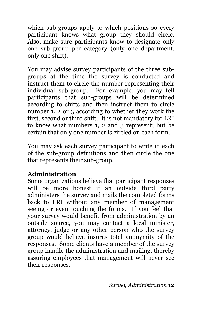which sub-groups apply to which positions so every participant knows what group they should circle. Also, make sure participants know to designate only one sub-group per category (only one department, only one shift).

You may advise survey participants of the three subgroups at the time the survey is conducted and instruct them to circle the number representing their individual sub-group. For example, you may tell participants that sub-groups will be determined according to shifts and then instruct them to circle number 1, 2 or 3 according to whether they work the first, second or third shift. It is not mandatory for LRI to know what numbers 1, 2 and 3 represent; but be certain that only one number is circled on each form.

You may ask each survey participant to write in each of the sub-group definitions and then circle the one that represents their sub-group.

## **Administration**

Some organizations believe that participant responses will be more honest if an outside third party administers the survey and mails the completed forms back to LRI without any member of management seeing or even touching the forms. If you feel that your survey would benefit from administration by an outside source, you may contact a local minister, attorney, judge or any other person who the survey group would believe insures total anonymity of the responses. Some clients have a member of the survey group handle the administration and mailing, thereby assuring employees that management will never see their responses.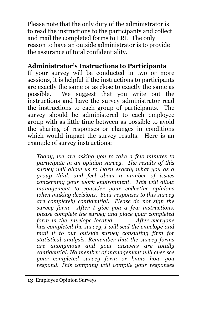Please note that the only duty of the administrator is to read the instructions to the participants and collect and mail the completed forms to LRI. The only reason to have an outside administrator is to provide the assurance of total confidentiality.

## **Administrator's Instructions to Participants**

If your survey will be conducted in two or more sessions, it is helpful if the instructions to participants are exactly the same or as close to exactly the same as possible. We suggest that you write out the instructions and have the survey administrator read the instructions to each group of participants. The survey should be administered to each employee group with as little time between as possible to avoid the sharing of responses or changes in conditions which would impact the survey results. Here is an example of survey instructions:

*Today, we are asking you to take a few minutes to participate in an opinion survey. The results of this survey will allow us to learn exactly what you as a group think and feel about a number of issues concerning your work environment. This will allow management to consider your collective opinions when making decisions. Your responses to this survey are completely confidential. Please do not sign the survey form. After I give you a few instructions, please complete the survey and place your completed form in the envelope located \_\_\_\_. After everyone has completed the survey, I will seal the envelope and mail it to our outside survey consulting firm for statistical analysis. Remember that the survey forms are anonymous and your answers are totally confidential. No member of management will ever see your completed survey form or know how you respond. This company will compile your responses*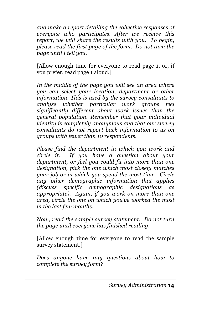*and make a report detailing the collective responses of everyone who participates. After we receive this report, we will share the results with you. To begin, please read the first page of the form. Do not turn the page until I tell you.*

[Allow enough time for everyone to read page 1, or, if you prefer, read page 1 aloud.]

*In the middle of the page you will see an area where you can select your location, department or other information. This is used by the survey consultants to analyze whether particular work groups feel significantly different about work issues than the general population. Remember that your individual identity is completely anonymous and that our survey consultants do not report back information to us on groups with fewer than 10 respondents.*

*Please find the department in which you work and circle it. If you have a question about your department, or feel you could fit into more than one designation, pick the one which most closely matches your job or in which you spend the most time. Circle any other demographic information that applies (discuss specific demographic designations as appropriate). Again, if you work on more than one area, circle the one on which you've worked the most in the last few months.*

*Now, read the sample survey statement. Do not turn the page until everyone has finished reading.*

[Allow enough time for everyone to read the sample survey statement.]

*Does anyone have any questions about how to complete the survey form?*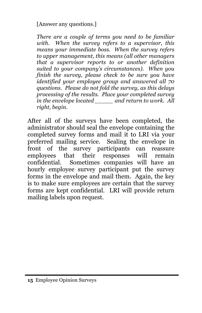[Answer any questions.]

*There are a couple of terms you need to be familiar with. When the survey refers to a supervisor, this means your immediate boss. When the survey refers to upper management, this means (all other managers that a supervisor reports to or another definition suited to your company's circumstances). When you finish the survey, please check to be sure you have identified your employee group and answered all 70 questions. Please do not fold the survey, as this delays processing of the results. Place your completed survey in the envelope located \_\_\_\_\_ and return to work. All right, begin.*

After all of the surveys have been completed, the administrator should seal the envelope containing the completed survey forms and mail it to LRI via your preferred mailing service. Sealing the envelope in front of the survey participants can reassure employees that their responses will remain confidential. Sometimes companies will have an hourly employee survey participant put the survey forms in the envelope and mail them. Again, the key is to make sure employees are certain that the survey forms are kept confidential. LRI will provide return mailing labels upon request.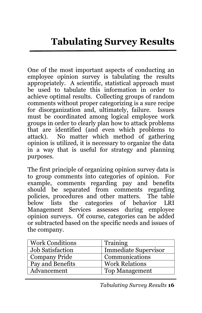One of the most important aspects of conducting an employee opinion survey is tabulating the results appropriately. A scientific, statistical approach must be used to tabulate this information in order to achieve optimal results. Collecting groups of random comments without proper categorizing is a sure recipe for disorganization and, ultimately, failure. Issues must be coordinated among logical employee work groups in order to clearly plan how to attack problems that are identified (and even which problems to attack). No matter which method of gathering opinion is utilized, it is necessary to organize the data in a way that is useful for strategy and planning purposes.

The first principle of organizing opinion survey data is to group comments into categories of opinion. For example, comments regarding pay and benefits should be separated from comments regarding policies, procedures and other matters. The table below lists the categories of behavior LRI Management Services assesses during employee opinion surveys. Of course, categories can be added or subtracted based on the specific needs and issues of the company.

| <b>Work Conditions</b>  | Training                    |
|-------------------------|-----------------------------|
| <b>Job Satisfaction</b> | <b>Immediate Supervisor</b> |
| <b>Company Pride</b>    | Communications              |
| Pay and Benefits        | <b>Work Relations</b>       |
| Advancement             | <b>Top Management</b>       |

*Tabulating Survey Results* **16**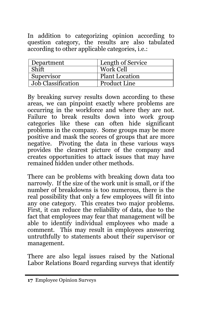In addition to categorizing opinion according to question category, the results are also tabulated according to other applicable categories, i.e.:

| Department         | Length of Service     |
|--------------------|-----------------------|
| Shift              | Work Cell             |
| Supervisor         | <b>Plant Location</b> |
| Job Classification | <b>Product Line</b>   |

By breaking survey results down according to these areas, we can pinpoint exactly where problems are occurring in the workforce and where they are not. Failure to break results down into work group categories like these can often hide significant problems in the company. Some groups may be more positive and mask the scores of groups that are more negative. Pivoting the data in these various ways provides the clearest picture of the company and creates opportunities to attack issues that may have remained hidden under other methods.

There can be problems with breaking down data too narrowly. If the size of the work unit is small, or if the number of breakdowns is too numerous, there is the real possibility that only a few employees will fit into any one category. This creates two major problems. First, it can reduce the reliability of data, due to the fact that employees may fear that management will be able to identify individual employees who made a comment. This may result in employees answering untruthfully to statements about their supervisor or management.

There are also legal issues raised by the National Labor Relations Board regarding surveys that identify

**<sup>17</sup>** Employee Opinion Surveys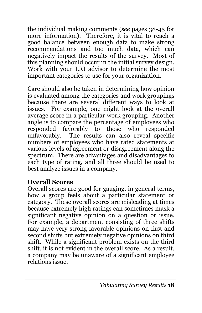the individual making comments (*see* pages 38-45 for more information). Therefore, it is vital to reach a good balance between enough data to make strong recommendations and too much data, which can negatively impact the results of the survey. Most of this planning should occur in the initial survey design. Work with your LRI advisor to determine the most important categories to use for your organization.

Care should also be taken in determining how opinion is evaluated among the categories and work groupings because there are several different ways to look at issues. For example, one might look at the overall average score in a particular work grouping. Another angle is to compare the percentage of employees who responded favorably to those who responded unfavorably. The results can also reveal specific numbers of employees who have rated statements at various levels of agreement or disagreement along the spectrum. There are advantages and disadvantages to each type of rating, and all three should be used to best analyze issues in a company.

#### **Overall Scores**

Overall scores are good for gauging, in general terms, how a group feels about a particular statement or category. These overall scores are misleading at times because extremely high ratings can sometimes mask a significant negative opinion on a question or issue. For example, a department consisting of three shifts may have very strong favorable opinions on first and second shifts but extremely negative opinions on third shift. While a significant problem exists on the third shift, it is not evident in the overall score. As a result, a company may be unaware of a significant employee relations issue.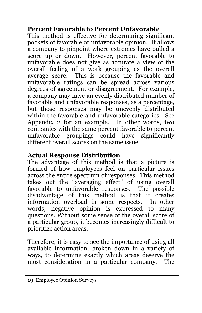#### **Percent Favorable to Percent Unfavorable**

This method is effective for determining significant pockets of favorable or unfavorable opinion. It allows a company to pinpoint where extremes have pulled a score up or down. However, percent favorable to unfavorable does not give as accurate a view of the overall feeling of a work grouping as the overall average score. This is because the favorable and unfavorable ratings can be spread across various degrees of agreement or disagreement. For example, a company may have an evenly distributed number of favorable and unfavorable responses, as a percentage, but those responses may be unevenly distributed within the favorable and unfavorable categories. See Appendix 2 for an example. In other words, two companies with the same percent favorable to percent unfavorable groupings could have significantly different overall scores on the same issue.

#### **Actual Response Distribution**

The advantage of this method is that a picture is formed of how employees feel on particular issues across the entire spectrum of responses. This method takes out the "averaging effect" of using overall favorable to unfavorable responses. The possible favorable to unfavorable responses. disadvantage of this method is that it creates information overload in some respects. In other words, negative opinion is expressed to many questions. Without some sense of the overall score of a particular group, it becomes increasingly difficult to prioritize action areas.

Therefore, it is easy to see the importance of using all available information, broken down in a variety of ways, to determine exactly which areas deserve the most consideration in a particular company. The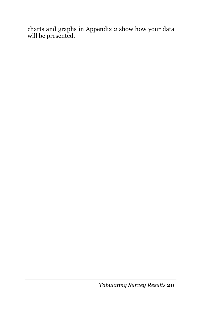charts and graphs in Appendix 2 show how your data will be presented.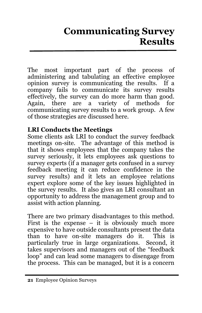# **Communicating Survey Results**

The most important part of the process of administering and tabulating an effective employee opinion survey is communicating the results. If a company fails to communicate its survey results effectively, the survey can do more harm than good. Again, there are a variety of methods for communicating survey results to a work group. A few of those strategies are discussed here.

#### **LRI Conducts the Meetings**

Some clients ask LRI to conduct the survey feedback meetings on-site. The advantage of this method is that it shows employees that the company takes the survey seriously, it lets employees ask questions to survey experts (if a manager gets confused in a survey feedback meeting it can reduce confidence in the survey results) and it lets an employee relations expert explore some of the key issues highlighted in the survey results. It also gives an LRI consultant an opportunity to address the management group and to assist with action planning.

There are two primary disadvantages to this method. First is the expense  $-$  it is obviously much more expensive to have outside consultants present the data than to have on-site managers do it. This is particularly true in large organizations. Second, it takes supervisors and managers out of the "feedback loop" and can lead some managers to disengage from the process. This can be managed, but it is a concern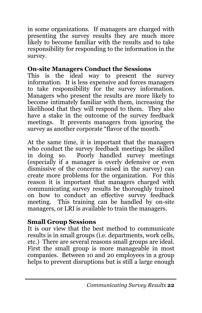in some organizations. If managers are charged with presenting the survey results they are much more likely to become familiar with the results and to take responsibility for responding to the information in the survey.

## **On-site Managers Conduct the Sessions**

This is the ideal way to present the survey information. It is less expensive and forces managers to take responsibility for the survey information. Managers who present the results are more likely to become intimately familiar with them, increasing the likelihood that they will respond to them. They also have a stake in the outcome of the survey feedback meetings. It prevents managers from ignoring the survey as another corporate "flavor of the month."

At the same time, it is important that the managers who conduct the survey feedback meetings be skilled in doing so. Poorly handled survey meetings (especially if a manager is overly defensive or even dismissive of the concerns raised in the survey) can create more problems for the organization. For this reason it is important that managers charged with communicating survey results be thoroughly trained on how to conduct an effective survey feedback meeting. This training can be handled by on-site managers, or LRI is available to train the managers.

## **Small Group Sessions**

It is our view that the best method to communicate results is in small groups (i.e. departments, work cells, etc.) There are several reasons small groups are ideal. First the small group is more manageable in most companies. Between 10 and 20 employees in a group helps to prevent disruptions but is still a large enough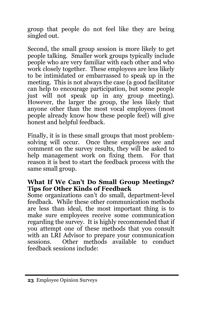group that people do not feel like they are being singled out.

Second, the small group session is more likely to get people talking. Smaller work groups typically include people who are very familiar with each other and who work closely together. These employees are less likely to be intimidated or embarrassed to speak up in the meeting. This is not always the case (a good facilitator can help to encourage participation, but some people just will not speak up in any group meeting). However, the larger the group, the less likely that anyone other than the most vocal employees (most people already know how these people feel) will give honest and helpful feedback.

Finally, it is in these small groups that most problemsolving will occur. Once these employees see and comment on the survey results, they will be asked to help management work on fixing them. For that reason it is best to start the feedback process with the same small group.

#### **What If We Can't Do Small Group Meetings? Tips for Other Kinds of Feedback**

Some organizations can't do small, department-level feedback. While these other communication methods are less than ideal, the most important thing is to make sure employees receive some communication regarding the survey. It is highly recommended that if you attempt one of these methods that you consult with an LRI Advisor to prepare your communication sessions. Other methods available to conduct feedback sessions include: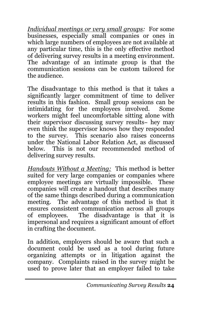*Individual meetings or very small groups:* For some businesses, especially small companies or ones in which large numbers of employees are not available at any particular time, this is the only effective method of delivering survey results in a meeting environment. The advantage of an intimate group is that the communication sessions can be custom tailored for the audience.

The disadvantage to this method is that it takes a significantly larger commitment of time to deliver results in this fashion. Small group sessions can be intimidating for the employees involved. Some workers might feel uncomfortable sitting alone with their supervisor discussing survey results− hey may even think the supervisor knows how they responded to the survey. This scenario also raises concerns under the National Labor Relation Act, as discussed below. This is not our recommended method of delivering survey results.

*Handouts Without a Meeting:* This method is better suited for very large companies or companies where employee meetings are virtually impossible. These companies will create a handout that describes many of the same things described during a communication meeting. The advantage of this method is that it ensures consistent communication across all groups of employees. The disadvantage is that it is impersonal and requires a significant amount of effort in crafting the document.

In addition, employers should be aware that such a document could be used as a tool during future organizing attempts or in litigation against the company. Complaints raised in the survey might be used to prove later that an employer failed to take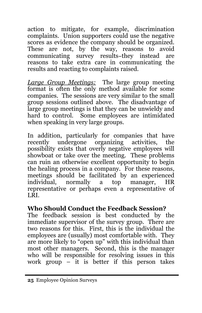action to mitigate, for example, discrimination complaints. Union supporters could use the negative scores as evidence the company should be organized. These are not, by the way, reasons to avoid communicating survey results−they instead are reasons to take extra care in communicating the results and reacting to complaints raised.

*Large Group Meetings:* The large group meeting format is often the only method available for some companies. The sessions are very similar to the small group sessions outlined above. The disadvantage of large group meetings is that they can be unwieldy and hard to control. Some employees are intimidated when speaking in very large groups.

In addition, particularly for companies that have recently undergone organizing activities, the possibility exists that overly negative employees will showboat or take over the meeting. These problems can ruin an otherwise excellent opportunity to begin the healing process in a company. For these reasons, meetings should be facilitated by an experienced individual, normally a top manager, HR representative or perhaps even a representative of LRI.

#### **Who Should Conduct the Feedback Session?**

The feedback session is best conducted by the immediate supervisor of the survey group. There are two reasons for this. First, this is the individual the employees are (usually) most comfortable with. They are more likely to "open up" with this individual than most other managers. Second, this is the manager who will be responsible for resolving issues in this work group  $-$  it is better if this person takes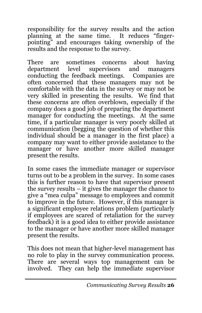responsibility for the survey results and the action planning at the same time. It reduces "fingerpointing" and encourages taking ownership of the results and the response to the survey.

There are sometimes concerns about having department level supervisors and managers conducting the feedback meetings. Companies are often concerned that these managers may not be comfortable with the data in the survey or may not be very skilled in presenting the results. We find that these concerns are often overblown, especially if the company does a good job of preparing the department manager for conducting the meetings. At the same time, if a particular manager is very poorly skilled at communication (begging the question of whether this individual should be a manager in the first place) a company may want to either provide assistance to the manager or have another more skilled manager present the results.

In some cases the immediate manager or supervisor turns out to be a problem in the survey. In some cases this is further reason to have that supervisor present the survey results – it gives the manager the chance to give a "mea culpa" message to employees and commit to improve in the future. However, if this manager is a significant employee relations problem (particularly if employees are scared of retaliation for the survey feedback) it is a good idea to either provide assistance to the manager or have another more skilled manager present the results.

This does not mean that higher-level management has no role to play in the survey communication process. There are several ways top management can be involved. They can help the immediate supervisor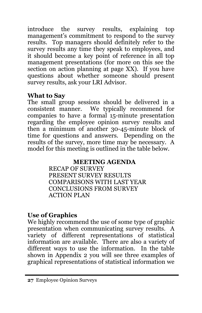introduce the survey results, explaining top management's commitment to respond to the survey results. Top managers should definitely refer to the survey results any time they speak to employees, and it should become a key point of reference in all top management presentations (for more on this see the section on action planning at page XX). If you have questions about whether someone should present survey results, ask your LRI Advisor.

#### **What to Say**

The small group sessions should be delivered in a consistent manner. We typically recommend for companies to have a formal 15-minute presentation regarding the employee opinion survey results and then a minimum of another 30-45-minute block of time for questions and answers. Depending on the results of the survey, more time may be necessary. A model for this meeting is outlined in the table below.

#### **MEETING AGENDA**

RECAP OF SURVEY PRESENT SURVEY RESULTS COMPARISONS WITH LAST YEAR CONCLUSIONS FROM SURVEY ACTION PLAN

## **Use of Graphics**

We highly recommend the use of some type of graphic presentation when communicating survey results. A variety of different representations of statistical information are available. There are also a variety of different ways to use the information. In the table shown in Appendix 2 you will see three examples of graphical representations of statistical information we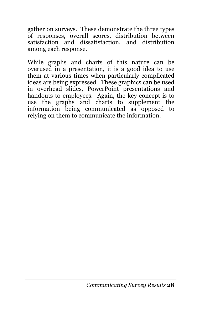gather on surveys. These demonstrate the three types of responses, overall scores, distribution between satisfaction and dissatisfaction, and distribution among each response.

While graphs and charts of this nature can be overused in a presentation, it is a good idea to use them at various times when particularly complicated ideas are being expressed. These graphics can be used in overhead slides, PowerPoint presentations and handouts to employees. Again, the key concept is to use the graphs and charts to supplement the information being communicated as opposed to relying on them to communicate the information.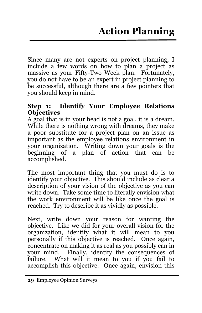Since many are not experts on project planning, I include a few words on how to plan a project as massive as your Fifty-Two Week plan. Fortunately, you do not have to be an expert in project planning to be successful, although there are a few pointers that you should keep in mind.

#### **Step 1: Identify Your Employee Relations Objectives**

A goal that is in your head is not a goal, it is a dream. While there is nothing wrong with dreams, they make a poor substitute for a project plan on an issue as important as the employee relations environment in your organization. Writing down your goals is the beginning of a plan of action that can be accomplished.

The most important thing that you must do is to identify your objective. This should include as clear a description of your vision of the objective as you can write down. Take some time to literally envision what the work environment will be like once the goal is reached. Try to describe it as vividly as possible.

Next, write down your reason for wanting the objective. Like we did for your overall vision for the organization, identify what it will mean to you personally if this objective is reached. Once again, concentrate on making it as real as you possibly can in your mind. Finally, identify the consequences of failure. What will it mean to you if you fail to accomplish this objective. Once again, envision this

**<sup>29</sup>** Employee Opinion Surveys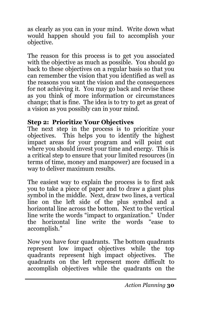as clearly as you can in your mind. Write down what would happen should you fail to accomplish your objective.

The reason for this process is to get you associated with the objective as much as possible. You should go back to these objectives on a regular basis so that you can remember the vision that you identified as well as the reasons you want the vision and the consequences for not achieving it. You may go back and revise these as you think of more information or circumstances change; that is fine. The idea is to try to get as great of a vision as you possibly can in your mind.

#### **Step 2: Prioritize Your Objectives**

The next step in the process is to prioritize your objectives. This helps you to identify the highest impact areas for your program and will point out where you should invest your time and energy. This is a critical step to ensure that your limited resources (in terms of time, money and manpower) are focused in a way to deliver maximum results.

The easiest way to explain the process is to first ask you to take a piece of paper and to draw a giant plus symbol in the middle. Next, draw two lines, a vertical line on the left side of the plus symbol and a horizontal line across the bottom. Next to the vertical line write the words "impact to organization." Under the horizontal line write the words "ease to accomplish."

Now you have four quadrants. The bottom quadrants represent low impact objectives while the top quadrants represent high impact objectives. The quadrants on the left represent more difficult to accomplish objectives while the quadrants on the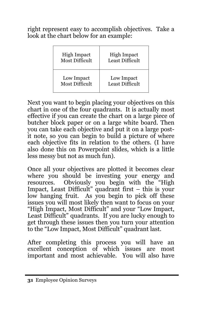right represent easy to accomplish objectives. Take a look at the chart below for an example:

| <b>High Impact</b>    | <b>High Impact</b>     |
|-----------------------|------------------------|
| <b>Most Difficult</b> | <b>Least Difficult</b> |
| Low Impact            | Low Impact             |
| <b>Most Difficult</b> | Least Difficult        |

Next you want to begin placing your objectives on this chart in one of the four quadrants. It is actually most effective if you can create the chart on a large piece of butcher block paper or on a large white board. Then you can take each objective and put it on a large postit note, so you can begin to build a picture of where each objective fits in relation to the others. (I have also done this on Powerpoint slides, which is a little less messy but not as much fun).

Once all your objectives are plotted it becomes clear where you should be investing your energy and resources. Obviously you begin with the "High Impact, Least Difficult" quadrant first – this is your low hanging fruit. As you begin to pick off these issues you will most likely then want to focus on your "High Impact, Most Difficult" and your "Low Impact, Least Difficult" quadrants. If you are lucky enough to get through these issues then you turn your attention to the "Low Impact, Most Difficult" quadrant last.

After completing this process you will have an excellent conception of which issues are most important and most achievable. You will also have

**<sup>31</sup>** Employee Opinion Surveys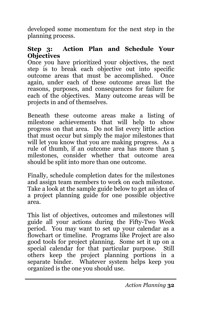developed some momentum for the next step in the planning process.

#### **Step 3: Action Plan and Schedule Your Objectives**

Once you have prioritized your objectives, the next step is to break each objective out into specific outcome areas that must be accomplished. Once again, under each of these outcome areas list the reasons, purposes, and consequences for failure for each of the objectives. Many outcome areas will be projects in and of themselves.

Beneath these outcome areas make a listing of milestone achievements that will help to show progress on that area. Do not list every little action that must occur but simply the major milestones that will let you know that you are making progress. As a rule of thumb, if an outcome area has more than 5 milestones, consider whether that outcome area should be split into more than one outcome.

Finally, schedule completion dates for the milestones and assign team members to work on each milestone. Take a look at the sample guide below to get an idea of a project planning guide for one possible objective area.

This list of objectives, outcomes and milestones will guide all your actions during the Fifty-Two Week period. You may want to set up your calendar as a flowchart or timeline. Programs like Project are also good tools for project planning. Some set it up on a special calendar for that particular purpose. Still others keep the project planning portions in a separate binder. Whatever system helps keep you organized is the one you should use.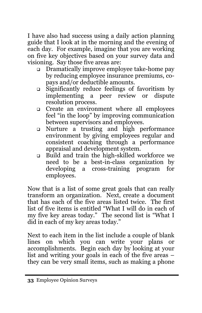I have also had success using a daily action planning guide that I look at in the morning and the evening of each day. For example, imagine that you are working on five key objectives based on your survey data and visioning. Say those five areas are:

- Dramatically improve employee take-home pay by reducing employee insurance premiums, copays and/or deductible amounts.
- Significantly reduce feelings of favoritism by implementing a peer review or dispute resolution process.
- Create an environment where all employees feel "in the loop" by improving communication between supervisors and employees.
- Nurture a trusting and high performance environment by giving employees regular and consistent coaching through a performance appraisal and development system.
- Build and train the high-skilled workforce we need to be a best-in-class organization by developing a cross-training program for employees.

Now that is a list of some great goals that can really transform an organization. Next, create a document that has each of the five areas listed twice. The first list of five items is entitled "What I will do in each of my five key areas today." The second list is "What I did in each of my key areas today."

Next to each item in the list include a couple of blank lines on which you can write your plans or accomplishments. Begin each day by looking at your list and writing your goals in each of the five areas – they can be very small items, such as making a phone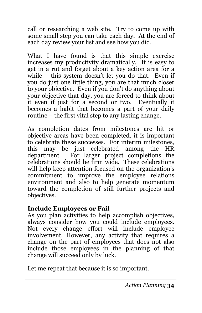call or researching a web site. Try to come up with some small step you can take each day. At the end of each day review your list and see how you did.

What I have found is that this simple exercise increases my productivity dramatically. It is easy to get in a rut and forget about a key action area for a while – this system doesn't let you do that. Even if you do just one little thing, you are that much closer to your objective. Even if you don't do anything about your objective that day, you are forced to think about it even if just for a second or two. Eventually it becomes a habit that becomes a part of your daily routine – the first vital step to any lasting change.

As completion dates from milestones are hit or objective areas have been completed, it is important to celebrate these successes. For interim milestones, this may be just celebrated among the HR department. For larger project completions the celebrations should be firm wide. These celebrations will help keep attention focused on the organization's commitment to improve the employee relations environment and also to help generate momentum toward the completion of still further projects and objectives.

#### **Include Employees or Fail**

As you plan activities to help accomplish objectives, always consider how you could include employees. Not every change effort will include employee involvement. However, any activity that requires a change on the part of employees that does not also include those employees in the planning of that change will succeed only by luck.

Let me repeat that because it is so important.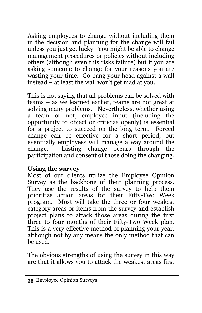Asking employees to change without including them in the decision and planning for the change will fail unless you just get lucky. You might be able to change management procedures or policies without including others (although even this risks failure) but if you are asking someone to change for your reasons you are wasting your time. Go bang your head against a wall instead – at least the wall won't get mad at you.

This is not saying that all problems can be solved with teams – as we learned earlier, teams are not great at solving many problems. Nevertheless, whether using a team or not, employee input (including the opportunity to object or criticize openly) is essential for a project to succeed on the long term. Forced change can be effective for a short period, but eventually employees will manage a way around the change. Lasting change occurs through the participation and consent of those doing the changing.

#### **Using the survey**

Most of our clients utilize the Employee Opinion Survey as the backbone of their planning process. They use the results of the survey to help them prioritize action areas for their Fifty-Two Week program. Most will take the three or four weakest category areas or items from the survey and establish project plans to attack those areas during the first three to four months of their Fifty-Two Week plan. This is a very effective method of planning your year, although not by any means the only method that can be used.

The obvious strengths of using the survey in this way are that it allows you to attack the weakest areas first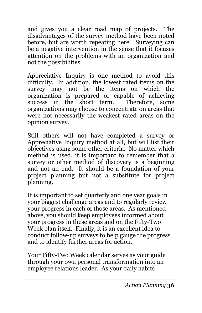and gives you a clear road map of projects. The disadvantages of the survey method have been noted before, but are worth repeating here. Surveying can be a negative intervention in the sense that it focuses attention on the problems with an organization and not the possibilities.

Appreciative Inquiry is one method to avoid this difficulty. In addition, the lowest rated items on the survey may not be the items on which the organization is prepared or capable of achieving success in the short term. Therefore, some organizations may choose to concentrate on areas that were not necessarily the weakest rated areas on the opinion survey.

Still others will not have completed a survey or Appreciative Inquiry method at all, but will list their objectives using some other criteria. No matter which method is used, it is important to remember that a survey or other method of discovery is a beginning and not an end. It should be a foundation of your project planning but not a substitute for project planning.

It is important to set quarterly and one year goals in your biggest challenge areas and to regularly review your progress in each of those areas. As mentioned above, you should keep employees informed about your progress in these areas and on the Fifty-Two Week plan itself. Finally, it is an excellent idea to conduct follow-up surveys to help gauge the progress and to identify further areas for action.

Your Fifty-Two Week calendar serves as your guide through your own personal transformation into an employee relations leader. As your daily habits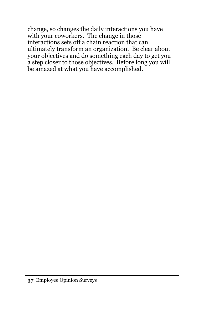change, so changes the daily interactions you have with your coworkers. The change in those interactions sets off a chain reaction that can ultimately transform an organization. Be clear about your objectives and do something each day to get you a step closer to those objectives. Before long you will be amazed at what you have accomplished.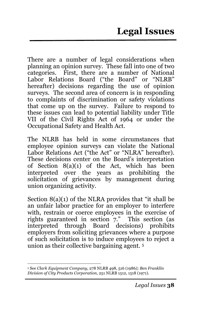There are a number of legal considerations when planning an opinion survey. These fall into one of two categories. First, there are a number of National Labor Relations Board ("the Board" or "NLRB" hereafter) decisions regarding the use of opinion surveys. The second area of concern is in responding to complaints of discrimination or safety violations that come up on the survey. Failure to respond to these issues can lead to potential liability under Title VII of the Civil Rights Act of 1964 or under the Occupational Safety and Health Act.

The NLRB has held in some circumstances that employee opinion surveys can violate the National Labor Relations Act ("the Act" or "NLRA" hereafter). These decisions center on the Board's interpretation of Section 8(a)(1) of the Act, which has been interpreted over the years as prohibiting the solicitation of grievances by management during union organizing activity.

Section 8(a)(1) of the NLRA provides that "it shall be an unfair labor practice for an employer to interfere with, restrain or coerce employees in the exercise of rights guaranteed in section 7." This section (as interpreted through Board decisions) prohibits employers from soliciting grievances where a purpose of such solicitation is to induce employees to reject a union as their collective bargaining agent*.* <sup>5</sup>

 <sup>5</sup> See *Clark Equipment Company*, 278 NLRB 498, 516 (1986*); Ben Franklin Division of City Products Corporation*, 251 NLRB 1512, 1518 (1971).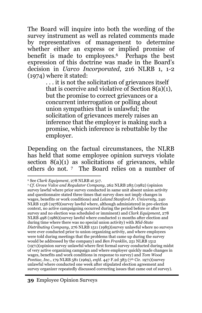The Board will inquire into both the wording of the survey instrument as well as related comments made by representatives of management to determine whether either an express or implied promise of benefit is made to employees.6 Perhaps the best expression of this doctrine was made in the Board's decision in *Uarco Incorporated*, 216 NLRB 1, 1-2 (1974) where it stated:

. . . it is not the solicitation of grievances itself that is coercive and violative of Section 8(a)(1), but the promise to correct grievances or a concurrent interrogation or polling about union sympathies that is unlawful; the solicitation of grievances merely raises an inference that the employer is making such a promise, which inference is rebuttable by the employer.

Depending on the factual circumstances, the NLRB has held that some employee opinion surveys violate section  $8(a)(1)$  as solicitations of grievances, while others do not. 7 The Board relies on a number of

 <sup>6</sup> See *Clark Equipment*, 278 NLRB at 517.

<sup>7</sup> *Cf. Grove Valve and Regulator Company*, 262 NLRB 285 (1982) (opinion survey lawful where prior survey conducted in same unit absent union activity and questionnaire stated three times that survey does not imply changes in wages, benefits or work conditions) and *Leland Stanford Jr. University*, 240 NLRB 1138 (1978)(survey lawful where, although administered in pre-election context, no active campaigning occurred during the period before or after the survey and no election was scheduled or imminent) and *Clark Equipment*, 278 NLRB 498 (1986)(survey lawful where conducted 11 months after election and during time where there was no special union activity) with *Mid-State Distributing Company*, 276 NLRB 1511 (1985)(survey unlawful where no surveys were ever conducted prior to union organizing activity, and where employees were told during meetings that the problems that came up during the survey would be addressed by the company) and *Ben Franklin*, 251 NLRB 1512 (1971)(opinion survey unlawful where first formal survey conducted during midst of very active organizing campaign and where employer quickly made changes in wages, benefits and work conditions in response to survey) and *Tom Wood Pontiac, Inc., 179 NLRB* 581 (1969), *enfd.* 447 F.2d 383 (7<sup>th</sup> Cir. 1971)(survey unlawful where conducted one week after stipulated election agreement and survey organizer repeatedly discussed correcting issues that came out of survey).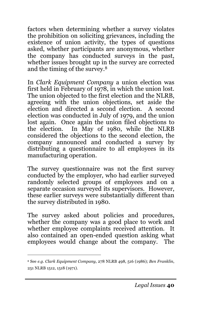factors when determining whether a survey violates the prohibition on soliciting grievances, including the existence of union activity, the types of questions asked, whether participants are anonymous, whether the company has conducted surveys in the past, whether issues brought up in the survey are corrected and the timing of the survey.8

In *Clark Equipment Company* a union election was first held in February of 1978, in which the union lost. The union objected to the first election and the NLRB, agreeing with the union objections, set aside the election and directed a second election. A second election was conducted in July of 1979, and the union lost again. Once again the union filed objections to the election. In May of 1980, while the NLRB considered the objections to the second election, the company announced and conducted a survey by distributing a questionnaire to all employees in its manufacturing operation.

The survey questionnaire was not the first survey conducted by the employer, who had earlier surveyed randomly selected groups of employees and on a separate occasion surveyed its supervisors. However, these earlier surveys were substantially different than the survey distributed in 1980.

The survey asked about policies and procedures, whether the company was a good place to work and whether employee complaints received attention. It also contained an open-ended question asking what employees would change about the company. The

 $\overline{a}$ 

<sup>8</sup> See *e.g. Clark Equipment Company*, 278 NLRB 498, 516 (1986); *Ben Franklin*, 251 NLRB 1512, 1518 (1971).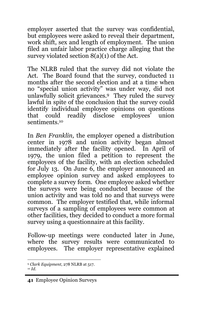employer asserted that the survey was confidential, but employees were asked to reveal their department, work shift, sex and length of employment. The union filed an unfair labor practice charge alleging that the survey violated section 8(a)(1) of the Act.

The NLRB ruled that the survey did not violate the Act. The Board found that the survey, conducted 11 months after the second election and at a time when no "special union activity" was under way, did not unlawfully solicit grievances.9 They ruled the survey lawful in spite of the conclusion that the survey could identify individual employee opinions on questions that could readily disclose employees' union sentiments.<sup>10</sup>

In *Ben Franklin,* the employer opened a distribution center in 1978 and union activity began almost immediately after the facility opened. In April of 1979, the union filed a petition to represent the employees of the facility, with an election scheduled for July 13. On June 6, the employer announced an employee opinion survey and asked employees to complete a survey form. One employee asked whether the surveys were being conducted because of the union activity and was told no and that surveys were common. The employer testified that, while informal surveys of a sampling of employees were common at other facilities, they decided to conduct a more formal survey using a questionnaire at this facility.

Follow-up meetings were conducted later in June, where the survey results were communicated to employees. The employer representative explained

 <sup>9</sup> *Clark Equipment*, 278 NLRB at 517.

<sup>10</sup> *Id.*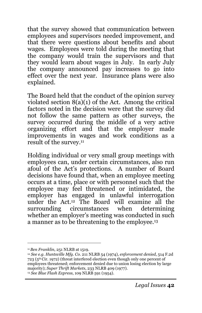that the survey showed that communication between employees and supervisors needed improvement, and that there were questions about benefits and about wages. Employees were told during the meeting that the company would train the supervisors and that they would learn about wages in July. In early July the company announced pay increases to go into effect over the next year. Insurance plans were also explained.

The Board held that the conduct of the opinion survey violated section 8(a)(1) of the Act. Among the critical factors noted in the decision were that the survey did not follow the same pattern as other surveys, the survey occurred during the middle of a very active organizing effort and that the employer made improvements in wages and work conditions as a result of the survey.11

Holding individual or very small group meetings with employees can, under certain circumstances, also run afoul of the Act's protections. A number of Board decisions have found that, when an employee meeting occurs at a time, place or with personnel such that the employee may feel threatened or intimidated, the employer has engaged in unlawful interrogation under the Act.12 The Board will examine all the surrounding circumstances when determining whether an employer's meeting was conducted in such a manner as to be threatening to the employee.13

 $\overline{a}$ 

<sup>11</sup>*Ben Franklin*, 251 NLRB at 1519.

<sup>12</sup> *See e.g. Huntsville Mfg. Co*. 211 NLRB 54 (1974), *enforcement denied*, 514 F.2d 723 (5th Cir. 1972) (threat interfered election even though only one percent of employees threatened; enforcement denied due to union losing election by large majority); *Super Thrift Markets*, 233 NLRB 409 (1977). <sup>13</sup> *See Blue Flash Express*, 109 NLRB 591 (1954).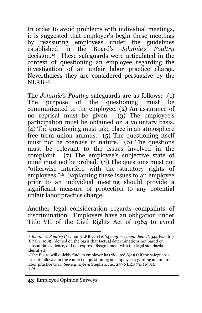In order to avoid problems with individual meetings, it is suggested that employer's begin these meetings by reassuring employees under the guidelines established in the Board's *Johnnie's Poultry* decision.14 These safeguards were articulated in the context of questioning an employee regarding the investigation of an unfair labor practice charge. Nevertheless they are considered persuasive by the  $NI$ .RR $15$ 

The *Johnnie's Poultry* safeguards are as follows: (1) The purpose of the questioning must be communicated to the employee. (2) An assurance of no reprisal must be given. (3) The employee's participation must be obtained on a voluntary basis. (4) The questioning must take place in an atmosphere free from union animus.  $(5)$  The questioning itself must not be coercive in nature.  $(6)$  The questions must be relevant to the issues involved in the complaint. (7) The employee's subjective state of mind must not be probed. (8) The questions must not "otherwise interfere with the statutory rights of employees."16 Explaining these issues to an employee prior to an individual meeting should provide a significant measure of protection to any potential unfair labor practice charge.

Another legal consideration regards complaints of discrimination. Employers have an obligation under Title VII of the Civil Rights Act of 1964 to avoid

 <sup>14</sup> *Johnnie's Poultry Co*., 146 NLRB 770 (1964), *enforcement denied*, 344 F.2d 617 (8th Cir. 1965) (denied on the basis that factual determinations not based on substantial evidence, did not express disagreement with the legal standards identified).

 $15$  The Board will quickly find an employer has violated  $8(a)(1)$  if the safeguards are not followed in the context of questioning an employee regarding an unfair labor practice trial. *See e.g.* Kyle & Stephen, Inc. 259 NLRB 731 (1981). <sup>16</sup> *Id.*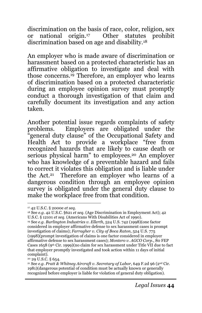discrimination on the basis of race, color, religion, sex or national origin.17 Other statutes prohibit discrimination based on age and disability.18

An employer who is made aware of discrimination or harassment based on a protected characteristic has an affirmative obligation to investigate and deal with those concerns.<sup>19</sup> Therefore, an employer who learns of discrimination based on a protected characteristic during an employee opinion survey must promptly conduct a thorough investigation of that claim and carefully document its investigation and any action taken.

Another potential issue regards complaints of safety problems. Employers are obligated under the "general duty clause" of the Occupational Safety and Health Act to provide a workplace "free from recognized hazards that are likely to cause death or serious physical harm" to employees.<sup>20</sup> An employer who has knowledge of a preventable hazard and fails to correct it violates this obligation and is liable under the Act.21 Therefore an employer who learns of a dangerous condition through an employee opinion survey is obligated under the general duty clause to make the workplace free from that condition.

 <sup>17 42</sup> U.S.C. § 2000e *et seq.*

<sup>18</sup> See *e.g.* 42 U.S.C. §621 *et seq.* (Age Discrimination in Employment Act); 42 U.S.C. § 12101 *et seq.* (Americans With Disabilities Act of 1990).

<sup>19</sup> See *e.g. Burlington Industries v. Ellerth*, 524 U.S. 742 (1998)(one factor considered in employer affirmative defense to sex harassment cases is prompt investigation of claims); *Farragher v. City of Boca Raton*, 524 U.S. 775 (1998)(prompt investigation of claims is one factor considered in employer affirmative defense to sex harassment cases); *Montero v. AGCO Corp.*, 80 FEP Cases 1658 (9<sup>th</sup> Cir. 1999)(no claim for sex harassment under Title VII due to fact that employer promptly investigated and took action within 11 days of initial complaint).

<sup>20 29</sup> U.S.C. § 654.

<sup>21</sup> See *e.g. Pratt & Whitney Aircraft v. Secretary of Labor*, 649 F.2d 96 (2nd Cir. 1981)(dangerous potential of condition must be actually known or generally recognized before employer is liable for violation of general duty obligation).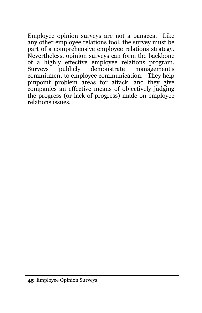Employee opinion surveys are not a panacea. Like any other employee relations tool, the survey must be part of a comprehensive employee relations strategy. Nevertheless, opinion surveys can form the backbone of a highly effective employee relations program. management's commitment to employee communication. They help pinpoint problem areas for attack, and they give companies an effective means of objectively judging the progress (or lack of progress) made on employee relations issues.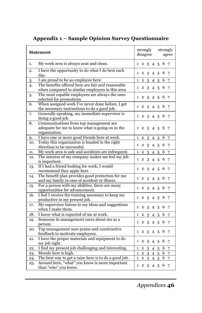| <b>Statement</b> |                                                                                                            | strongly<br>disagree |                |   |                 | strongly<br>agree |     |                 |  |
|------------------|------------------------------------------------------------------------------------------------------------|----------------------|----------------|---|-----------------|-------------------|-----|-----------------|--|
| 1.               | My work area is always neat and clean.                                                                     |                      |                |   | 1 2 3 4 5       |                   | 6 7 |                 |  |
| 2.               | I have the opportunity to do what I do best each<br>day.                                                   | 1                    | $\mathbf{2}$   | 3 | 4               | 5                 | 6   | 7               |  |
| 3.               | I am proud to be an employee here.                                                                         | 1                    | 2              | 3 | 4               | 5                 | 6   | 7               |  |
| 4.               | The benefits offered here are fair and reasonable<br>when compared to similar employers in this area       | $\mathbf{1}$         | 2              | 3 | $4\overline{5}$ |                   | 6   | $7\overline{ }$ |  |
| 5.               | The most capable employees are always the ones<br>selected for promotions.                                 | 1                    | $\overline{2}$ | 3 | 4               | 5                 | 6   | 7               |  |
| 6.               | When assigned work I've never done before, I get<br>the necessary instructions to do a good job.           | 1                    | 2              | 3 | $\overline{4}$  | 5                 | 6   | 7               |  |
| 7.               | Generally speaking, my immediate supervisor is<br>doing a good job.                                        | 1                    | $\overline{2}$ | 3 | $\overline{4}$  | 5                 | 6   | 7               |  |
| 8.               | Communications from top management are<br>adequate for me to know what is going on in the<br>organization. | 1                    | 2              | 3 | 4               | 5                 | 6   | - 7             |  |
| 9.               | I have one or more good friends here at work.                                                              | $\mathbf{1}$         | $\overline{2}$ | 3 | 4               | 5                 | 6   | 7               |  |
| 10.              | Today this organization is headed in the right<br>direction to be successful.                              | 1                    | $\mathbf{2}$   | 3 | $\overline{4}$  | 5                 | 6   | 7               |  |
| 11.              | My work area is safe and accidents are infrequent.                                                         | 1                    | 2              | 3 | 4               | 5                 | 6   | 7               |  |
| 12.              | The mission of my company makes me feel my job<br>is important.                                            | $\mathbf{1}$         | $\mathbf{2}$   | 3 | 4               | 5                 | 6   | 7               |  |
| 13.              | If I had a friend looking for work, I would                                                                | 1                    | $\overline{2}$ | 3 | 4               | 5                 | 6   | -7              |  |
|                  | recommend they apply here                                                                                  |                      |                |   |                 |                   |     |                 |  |
| 14.              | The benefit plan provides good protection for me<br>and my family in case of accident or illness.          | 1                    | $\overline{2}$ | 3 |                 | 4 5               | 6   | 7               |  |
| 15.              | For a person with my abilities, there are many<br>opportunities for advancement.                           | 1                    | 2              | 3 | 4               | 5                 | 6   | 7               |  |
| 16.              | I feel I receive the training necessary to keep me<br>productive in my present job.                        | $\mathbf{1}$         | $\mathbf{2}$   | 3 | 4               | 5                 | 6   | 7               |  |
| 17.              | My supervisor listens to my ideas and suggestions<br>when I make them.                                     | $\mathbf{1}$         | $\mathbf{2}$   | 3 | $\overline{4}$  | 5                 | 6   | 7               |  |
| 18.              | I know what is expected of me at work.                                                                     | 1                    | $\overline{2}$ | 3 | 4               | 5                 | 6   | 7               |  |
| 19.              | Someone in management cares about me as a<br>person.                                                       | $\mathbf{1}$         | $\mathbf{2}$   | 3 | $\overline{4}$  | 5                 | 6   | 7               |  |
| 20.              | Top management uses praise and constructive<br>feedback to motivate employees.                             | 1                    | 2              | 3 | 4               | 5                 | 6   | 7               |  |
| 21.              | I have the proper materials and equipment to do<br>my job right.                                           | 1                    | 2              | 3 | $\overline{4}$  | 5                 | 6   | 7               |  |
| 22.              | I find my present job challenging and interesting.                                                         | $\mathbf{1}$         | $\overline{2}$ | 3 | $\overline{4}$  | 5                 | 6   | 7               |  |
| 23.              | Morale here is high.                                                                                       | $\mathbf{1}$         | $\overline{2}$ | 3 | 4               | 5                 | 6   | 7               |  |
| 24.              | The best way to get a raise here is to do a good job.                                                      | $\mathbf{1}$         | $\overline{2}$ | 3 | 4               | 5                 | 6   | 7               |  |
| 25.              | Around here, "what" you know is more important<br>than "who" you know.                                     | 1                    | 2              | 3 |                 | $4\overline{5}$   | 6   | 7               |  |

## **Appendix 1 – Sample Opinion Survey Questionnaire**

*Appendices* **46**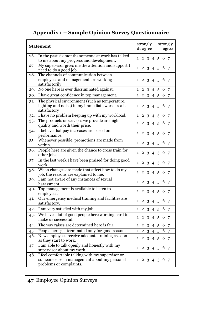#### **Appendix 1 – Sample Opinion Survey Questionnaire**

| <b>Statement</b>                                                                                                                   | strongly<br>strongly<br>disagree<br>agree                                       |
|------------------------------------------------------------------------------------------------------------------------------------|---------------------------------------------------------------------------------|
| In the past six months someone at work has talked<br>26.<br>to me about my progress and development.                               | 6 7<br>$1\ 2\ 3\ 4\ 5$                                                          |
| My supervisor gives me the attention and support I<br>27.<br>need to do a good job.                                                | 4 5 6 7<br>$1\;\;2\;\;3$                                                        |
| The channels of communication between<br>28.<br>employees and management are working<br>satisfactorily                             | 6<br>$\mathbf{1}$<br>$\mathbf{2}$<br>3<br>4<br>5<br>-7                          |
| No one here is ever discriminated against.<br>29.                                                                                  | 6<br>$\mathbf{1}$<br>$\overline{2}$<br>3<br>7<br>4<br>5                         |
| I have great confidence in top management.<br>30.                                                                                  | 4 5 6 7<br>$1\quad2$<br>3                                                       |
| The physical environment (such as temperature,<br>31.<br>lighting and noise) in my immediate work area is<br>satisfactory          | 6<br>3<br>$\mathbf{1}$<br>$\overline{2}$<br>$\overline{4}$<br>5<br>7            |
| I have no problem keeping up with my workload.<br>32.                                                                              | 6<br>1<br>$\overline{c}$<br>3<br>5<br>4<br>7                                    |
| The products or services we provide are high<br>33.<br>quality and worth their price.                                              | 6<br>$\mathbf{1}$<br>$\overline{2}$<br>3<br>7<br>4<br>5                         |
| I believe that pay increases are based on<br>34.<br>performance.                                                                   | 6<br>1<br>$\overline{2}$<br>3<br>$4\overline{5}$<br>7                           |
| Whenever possible, promotions are made from<br>35.<br>within.                                                                      | 6<br>2, 3, 4, 5<br>7<br>1                                                       |
| People here are given the chance to cross train for<br>36.<br>other jobs.                                                          | 6<br>1.<br>$\overline{2}$<br>3<br>4 5<br>7                                      |
| In the last week I have been praised for doing good<br>37.<br>work.                                                                | 6<br>$\overline{2}$<br>$\mathbf{1}$<br>3<br>$\overline{4}$<br>5<br>7            |
| When changes are made that affect how to do my<br>38.<br>job, the reasons are explained to me.                                     | 6<br>1<br>$\overline{2}$<br>3<br>$\overline{4}$<br>-5<br>7                      |
| I am not aware of any instances of sexual<br>39.<br>harassment.                                                                    | 6<br>$\overline{2}$<br>3<br>4 <sub>5</sub><br>7<br>1                            |
| Top management is available to listen to<br>40.<br>employees.                                                                      | 3<br>5<br>6<br>1<br>$\mathbf{2}$<br>$\overline{4}$<br>7                         |
| Our emergency medical training and facilities are<br>41.<br>satisfactory.                                                          | 6<br>3<br>7<br>1<br>2<br>4<br>5                                                 |
| I am very satisfied with my job.<br>42.                                                                                            | $\mathbf{1}$<br>$\mathbf{2}$<br>3<br>6<br>4<br>5<br>7                           |
| We have a lot of good people here working hard to<br>43.<br>make us successful.                                                    | $\mathbf{2}$<br>6<br>$\overline{7}$<br>$\mathbf{1}$<br>3<br>$\overline{4}$<br>5 |
| The way raises are determined here is fair.<br>44.                                                                                 | 6<br>$\overline{7}$<br>1<br>$\mathbf{2}$<br>3<br>$\overline{4}$<br>5            |
| People here get terminated only for good reasons.<br>45.                                                                           | 6<br>3<br>4<br>$\mathbf{1}$<br>$\mathbf{2}$<br>5<br>7                           |
| New employees receive adequate training as soon<br>46.<br>as they start to work.                                                   | 6 7<br>$\mathbf{2}$<br>3<br>$\mathbf{1}$<br>45                                  |
| I am able to talk openly and honestly with my<br>47.<br>supervisor about my work.                                                  | 6<br>$\overline{2}$<br>3<br>4<br>5<br>7<br>1                                    |
| I feel comfortable talking with my supervisor or<br>48.<br>someone else in management about my personal<br>problems or complaints. | 123456<br>- 7                                                                   |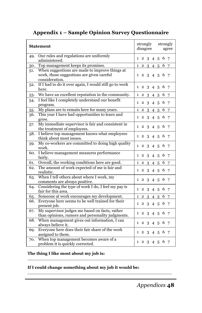#### **Statement** strongly disagree strongly agree 49. Our rules and regulations are uniformly  $\begin{array}{r|rrrr}\n\text{3} & \text{4} & \text{5} & \text{6} \\
\text{4} & \text{5} & \text{6} & \text{7}\n\end{array}$ 50. Top management keeps its promises. 1 2 3 4 5 6 7 51. When suggestions are made to improve things at work, those suggestions are given careful consideration. 1 2 3 4 5 6 7 52. If I had to do it over again, I would still go to work here.  $\left| \begin{array}{cccc} 1 & 2 & 3 & 4 & 5 & 6 & 7 \\ 1 & 2 & 3 & 4 & 5 & 6 & 7 \end{array} \right|$ 53. We have an excellent reputation in the community.  $\begin{array}{cccc} 1 & 2 & 3 & 4 & 5 & 6 & 7 \end{array}$ 54. I feel like I completely understand our benefit program.  $\left| \begin{array}{ccccccc} 1 & 2 & 3 & 4 & 5 & 6 & 7 \end{array} \right|$ 55. My plans are to remain here for many years.  $\begin{array}{|l|} \hline \end{array}$  1 2 3 4 5 6 7 56. This year I have had opportunities to learn and This year I have had opportunities to real and<br> $\begin{bmatrix} 1 & 2 & 3 & 4 & 5 & 6 & 7 \end{bmatrix}$ 57. My immediate supervisor is fair and consistent in  $\frac{1}{2}$  and the treatment of employees. 58. I believe top management knows what employees There is the management knows what employees  $\begin{vmatrix} 1 & 2 & 3 & 4 & 5 & 6 & 7 \end{vmatrix}$ 59. My co-workers are committed to doing high quality  $\frac{m_y}{2}$  to-workers are committed to doing linear quality  $\left[1\ 2\ 3\ 4\ 5\ 6\ 7\right]$ 60. I believe management measures performance Figure management measures performance  $\begin{bmatrix} 1 & 2 & 3 & 4 & 5 & 6 & 7 \end{bmatrix}$ 61. Overall, the working conditions here are good. 1 2 3 4 5 6 7 62. The amount of work expected of me is fair and realistic.  $\begin{bmatrix} 1 & 2 & 3 & 4 & 5 & 6 & 7 \end{bmatrix}$ 63. When I tell others about where I work, my when I denoties about where I work, my  $\begin{array}{|l|l|} 1 & 2 & 3 & 4 & 5 & 6 & 7 \end{array}$ 64. Considering the type of work I do, I feel my pay is<br>fair for this area  $1\; 2\; 3\; 4\; 5\; 6\; 7$ 65. Someone at work encourages my development. 1 2 3 4 5 6 7 66. Everyone here seems to be well trained for their present job. 1 2 3 4 5 6 7 67. My supervisor judges me based on facts, rather than opinions, rumors and personality judgments.  $\begin{vmatrix} 1 & 2 & 3 & 4 & 5 & 6 & 7 \end{vmatrix}$ 68. When management gives out information, I can when management gives out mormation,  $1 \text{ can}$   $1 \text{,} 2 \text{,} 3 \text{,} 4 \text{,} 5 \text{,} 6 \text{,} 7$ 69. Everyone here does their fair share of the work

Everyone nere does them fair share of the work  $\begin{bmatrix} 1 & 2 & 3 & 4 & 5 & 6 & 7 \end{bmatrix}$ 

when top management becomes aware or  $\alpha$   $\begin{array}{|l|} 1 & 2 & 3 & 4 & 5 & 6 & 7 \end{array}$ 

\_\_\_\_\_\_\_\_\_\_\_\_\_\_\_\_\_\_\_\_\_\_\_\_\_\_\_\_\_\_\_\_\_\_\_\_\_\_\_\_\_\_\_\_\_\_\_\_\_\_\_\_\_\_\_

\_\_\_\_\_\_\_\_\_\_\_\_\_\_\_\_\_\_\_\_\_\_\_\_\_\_\_\_\_\_\_\_\_\_\_\_\_\_\_\_\_\_\_\_\_\_\_\_\_\_\_\_\_\_\_

#### **Appendix 1 – Sample Opinion Survey Questionnaire**

#### **The thing I like most about my job is:**

70. When top management becomes aware of a

#### **If I could change something about my job it would be:**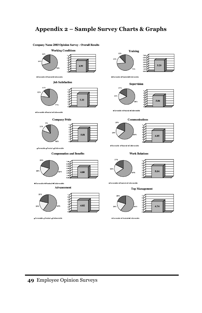#### **Appendix 2 – Sample Survey Charts & Graphs**



Favorable <sub>D</sub>Neutral DUnfavorable

**¤Favorable □Neutral ■Unfavorable** 

#### **49** Employee Opinion Surveys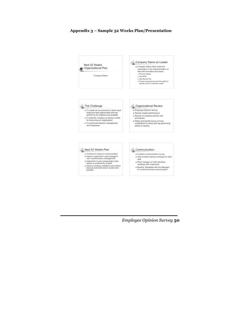

#### **Appendix 3 – Sample 52 Weeks Plan/Presentation**